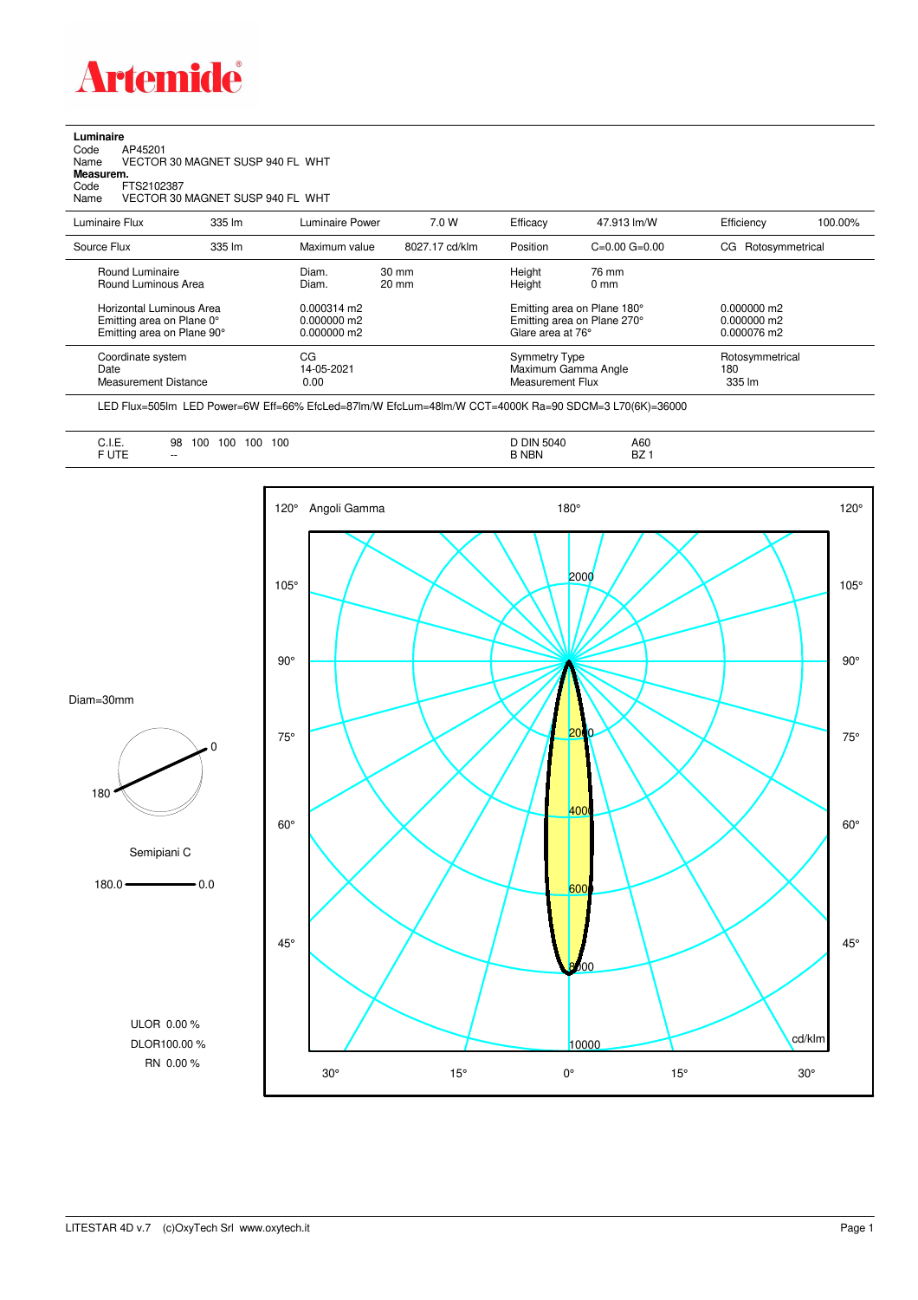

## **Luminaire**<br>Code /<br>Name \ Code AP45201 Name VECTOR 30 MAGNET SUSP 940 FL WHT **Measurem.** Code FTS2102387 Name VECTOR 30 MAGNET SUSP 940 FL WHT

| Luminaire Flux                                                                      | 335 lm | Luminaire Power                                        | 7.0 W                              | Efficacy                                                                        | 47.913 lm/W                                              | Efficiency                                    | 100.00%         |
|-------------------------------------------------------------------------------------|--------|--------------------------------------------------------|------------------------------------|---------------------------------------------------------------------------------|----------------------------------------------------------|-----------------------------------------------|-----------------|
| Source Flux                                                                         | 335 lm | Maximum value                                          | 8027.17 cd/klm                     | Position                                                                        | $C=0.00$ $G=0.00$                                        | Rotosymmetrical<br>CG.                        |                 |
| Round Luminaire<br>Round Luminous Area                                              |        | Diam.<br>Diam.                                         | $30 \text{ mm}$<br>$20 \text{ mm}$ | Height<br>Height                                                                | 76 mm<br>$0 \text{ mm}$                                  |                                               |                 |
| Horizontal Luminous Area<br>Emitting area on Plane 0°<br>Emitting area on Plane 90° |        | $0.000314 \text{ m}$<br>$0.000000$ m2<br>$0.000000$ m2 |                                    | Emitting area on Plane 180°<br>Emitting area on Plane 270°<br>Glare area at 76° |                                                          | $0.000000$ m2<br>$0.000000$ m2<br>0.000076 m2 |                 |
| Coordinate system<br>Date<br>Measurement Distance                                   |        | CG<br>14-05-2021<br>0.00                               |                                    |                                                                                 | Symmetry Type<br>Maximum Gamma Angle<br>Measurement Flux |                                               | Rotosymmetrical |

LED Flux=505lm LED Power=6W Eff=66% EfcLed=87lm/W EfcLum=48lm/W CCT=4000K Ra=90 SDCM=3 L70(6K)=36000